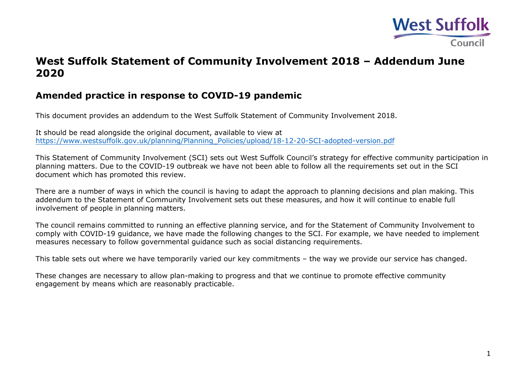

## **West Suffolk Statement of Community Involvement 2018 – Addendum June 2020**

## **Amended practice in response to COVID-19 pandemic**

This document provides an addendum to the West Suffolk Statement of Community Involvement 2018.

It should be read alongside the original document, available to view at [https://www.westsuffolk.gov.uk/planning/Planning\\_Policies/upload/18-12-20-SCI-adopted-version.pdf](https://www.westsuffolk.gov.uk/planning/Planning_Policies/upload/18-12-20-SCI-adopted-version.pdf)

This Statement of Community Involvement (SCI) sets out West Suffolk Council's strategy for effective community participation in planning matters. Due to the COVID-19 outbreak we have not been able to follow all the requirements set out in the SCI document which has promoted this review.

There are a number of ways in which the council is having to adapt the approach to planning decisions and plan making. This addendum to the Statement of Community Involvement sets out these measures, and how it will continue to enable full involvement of people in planning matters.

The council remains committed to running an effective planning service, and for the Statement of Community Involvement to comply with COVID-19 guidance, we have made the following changes to the SCI. For example, we have needed to implement measures necessary to follow governmental guidance such as social distancing requirements.

This table sets out where we have temporarily varied our key commitments – the way we provide our service has changed.

These changes are necessary to allow plan-making to progress and that we continue to promote effective community engagement by means which are reasonably practicable.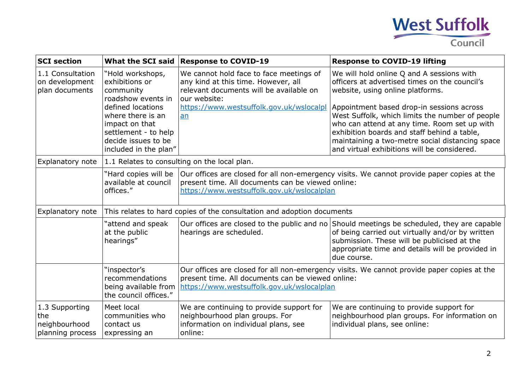

| <b>SCI</b> section                                         | <b>What the SCI said</b>                                                                                                                                                                                  | <b>Response to COVID-19</b>                                                                                                                                                                   | <b>Response to COVID-19 lifting</b>                                                                                                                                                                                                                                                                                                                                                                                             |  |  |
|------------------------------------------------------------|-----------------------------------------------------------------------------------------------------------------------------------------------------------------------------------------------------------|-----------------------------------------------------------------------------------------------------------------------------------------------------------------------------------------------|---------------------------------------------------------------------------------------------------------------------------------------------------------------------------------------------------------------------------------------------------------------------------------------------------------------------------------------------------------------------------------------------------------------------------------|--|--|
| 1.1 Consultation<br>on development<br>plan documents       | "Hold workshops,<br>exhibitions or<br>community<br>roadshow events in<br>defined locations<br>where there is an<br>impact on that<br>settlement - to help<br>decide issues to be<br>included in the plan" | We cannot hold face to face meetings of<br>any kind at this time. However, all<br>relevant documents will be available on<br>our website:<br>https://www.westsuffolk.gov.uk/wslocalpl<br>an   | We will hold online Q and A sessions with<br>officers at advertised times on the council's<br>website, using online platforms.<br>Appointment based drop-in sessions across<br>West Suffolk, which limits the number of people<br>who can attend at any time. Room set up with<br>exhibition boards and staff behind a table,<br>maintaining a two-metre social distancing space<br>and virtual exhibitions will be considered. |  |  |
| Explanatory note                                           | 1.1 Relates to consulting on the local plan.                                                                                                                                                              |                                                                                                                                                                                               |                                                                                                                                                                                                                                                                                                                                                                                                                                 |  |  |
|                                                            | "Hard copies will be<br>available at council<br>offices."                                                                                                                                                 | Our offices are closed for all non-emergency visits. We cannot provide paper copies at the<br>present time. All documents can be viewed online:<br>https://www.westsuffolk.gov.uk/wslocalplan |                                                                                                                                                                                                                                                                                                                                                                                                                                 |  |  |
| Explanatory note                                           | This relates to hard copies of the consultation and adoption documents                                                                                                                                    |                                                                                                                                                                                               |                                                                                                                                                                                                                                                                                                                                                                                                                                 |  |  |
|                                                            | 'attend and speak<br>at the public<br>hearings"                                                                                                                                                           | hearings are scheduled.                                                                                                                                                                       | Our offices are closed to the public and no Should meetings be scheduled, they are capable<br>of being carried out virtually and/or by written<br>submission. These will be publicised at the<br>appropriate time and details will be provided in<br>due course.                                                                                                                                                                |  |  |
|                                                            | "inspector's<br>recommendations<br>being available from<br>the council offices."                                                                                                                          | Our offices are closed for all non-emergency visits. We cannot provide paper copies at the<br>present time. All documents can be viewed online:<br>https://www.westsuffolk.gov.uk/wslocalplan |                                                                                                                                                                                                                                                                                                                                                                                                                                 |  |  |
| 1.3 Supporting<br>the<br>neighbourhood<br>planning process | Meet local<br>communities who<br>contact us<br>expressing an                                                                                                                                              | We are continuing to provide support for<br>neighbourhood plan groups. For<br>information on individual plans, see<br>online:                                                                 | We are continuing to provide support for<br>neighbourhood plan groups. For information on<br>individual plans, see online:                                                                                                                                                                                                                                                                                                      |  |  |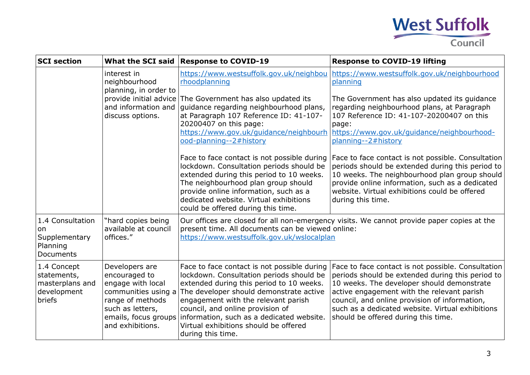

| <b>SCI</b> section                                                     |                                                                                                                                                                                                                                                                                                     | What the SCI said Response to COVID-19                                                                                                                                                                                                                                                                                                                               | <b>Response to COVID-19 lifting</b>                                                                                                                                                                                                                                                                                                            |  |
|------------------------------------------------------------------------|-----------------------------------------------------------------------------------------------------------------------------------------------------------------------------------------------------------------------------------------------------------------------------------------------------|----------------------------------------------------------------------------------------------------------------------------------------------------------------------------------------------------------------------------------------------------------------------------------------------------------------------------------------------------------------------|------------------------------------------------------------------------------------------------------------------------------------------------------------------------------------------------------------------------------------------------------------------------------------------------------------------------------------------------|--|
|                                                                        | interest in<br>neighbourhood<br>planning, in order to<br>and information and<br>discuss options.                                                                                                                                                                                                    | rhoodplanning                                                                                                                                                                                                                                                                                                                                                        | https://www.westsuffolk.gov.uk/neighbou https://www.westsuffolk.gov.uk/neighbourhood<br>planning                                                                                                                                                                                                                                               |  |
|                                                                        |                                                                                                                                                                                                                                                                                                     | provide initial advice The Government has also updated its<br>guidance regarding neighbourhood plans,<br>at Paragraph 107 Reference ID: 41-107-<br>20200407 on this page:<br>ood-planning--2#history                                                                                                                                                                 | The Government has also updated its guidance<br>regarding neighbourhood plans, at Paragraph<br>107 Reference ID: 41-107-20200407 on this<br>page:<br>https://www.gov.uk/guidance/neighbourh https://www.gov.uk/guidance/neighbourhood-<br>planning--2#history                                                                                  |  |
|                                                                        | Face to face contact is not possible during<br>lockdown. Consultation periods should be<br>extended during this period to 10 weeks.<br>The neighbourhood plan group should<br>provide online information, such as a<br>dedicated website. Virtual exhibitions<br>could be offered during this time. | Face to face contact is not possible. Consultation<br>periods should be extended during this period to<br>10 weeks. The neighbourhood plan group should<br>provide online information, such as a dedicated<br>website. Virtual exhibitions could be offered<br>during this time.                                                                                     |                                                                                                                                                                                                                                                                                                                                                |  |
| 1.4 Consultation<br>on<br>Supplementary<br>Planning<br>Documents       | "hard copies being<br>available at council<br>offices."                                                                                                                                                                                                                                             | Our offices are closed for all non-emergency visits. We cannot provide paper copies at the<br>present time. All documents can be viewed online:<br>https://www.westsuffolk.gov.uk/wslocalplan                                                                                                                                                                        |                                                                                                                                                                                                                                                                                                                                                |  |
| 1.4 Concept<br>statements,<br>masterplans and<br>development<br>briefs | Developers are<br>encouraged to<br>engage with local<br>communities using a<br>range of methods<br>such as letters,<br>emails, focus groups<br>and exhibitions.                                                                                                                                     | Face to face contact is not possible during<br>lockdown. Consultation periods should be<br>extended during this period to 10 weeks.<br>The developer should demonstrate active<br>engagement with the relevant parish<br>council, and online provision of<br>information, such as a dedicated website.<br>Virtual exhibitions should be offered<br>during this time. | Face to face contact is not possible. Consultation<br>periods should be extended during this period to<br>10 weeks. The developer should demonstrate<br>active engagement with the relevant parish<br>council, and online provision of information,<br>such as a dedicated website. Virtual exhibitions<br>should be offered during this time. |  |